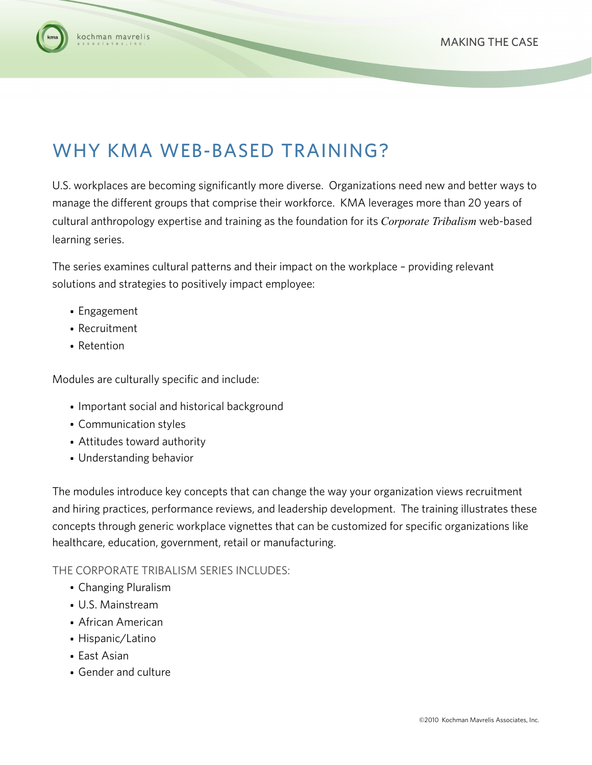

### cochman mavrelis

# WHY KMA WEB-BASED TRAINING?

U.S. workplaces are becoming significantly more diverse. Organizations need new and better ways to manage the different groups that comprise their workforce. KMA leverages more than 20 years of cultural anthropology expertise and training as the foundation for its *Corporate Tribalism* web-based learning series.

The series examines cultural patterns and their impact on the workplace – providing relevant solutions and strategies to positively impact employee:

- Engagement
- Recruitment
- Retention

Modules are culturally specific and include:

- Important social and historical background
- Communication styles
- Attitudes toward authority
- Understanding behavior

The modules introduce key concepts that can change the way your organization views recruitment and hiring practices, performance reviews, and leadership development. The training illustrates these concepts through generic workplace vignettes that can be customized for specific organizations like healthcare, education, government, retail or manufacturing.

#### THE CORPORATE TRIBALISM SERIES INCLUDES:

- Changing Pluralism
- U.S. Mainstream
- African American
- Hispanic/Latino
- East Asian
- Gender and culture